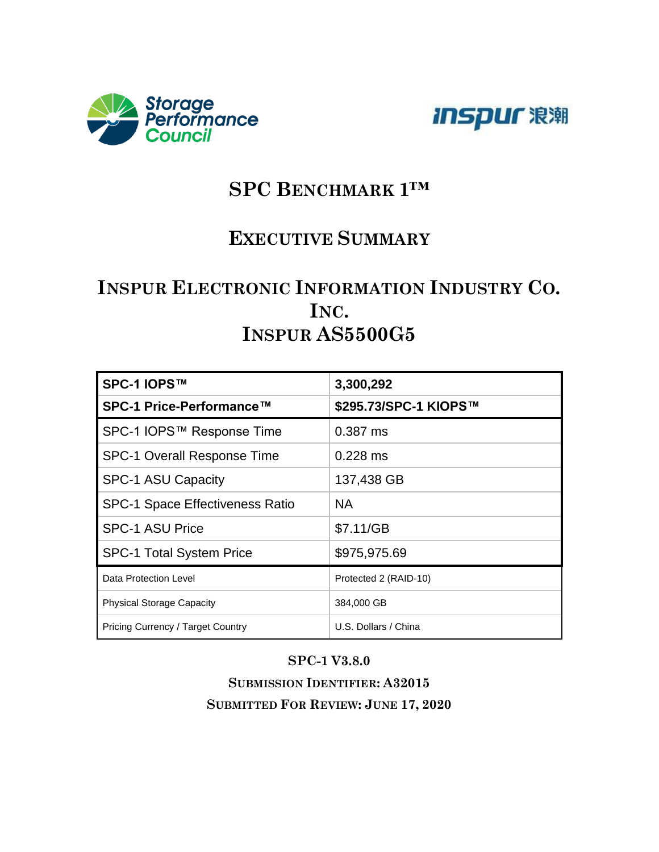



# **SPC BENCHMARK 1™**

## **EXECUTIVE SUMMARY**

# **INSPUR ELECTRONIC INFORMATION INDUSTRY CO. INC. INSPUR AS5500G5**

| SPC-1 IOPS™                              | 3,300,292             |
|------------------------------------------|-----------------------|
| SPC-1 Price-Performance™                 | \$295.73/SPC-1 KIOPS™ |
| SPC-1 IOPS™ Response Time                | $0.387$ ms            |
| <b>SPC-1 Overall Response Time</b>       | $0.228$ ms            |
| <b>SPC-1 ASU Capacity</b>                | 137,438 GB            |
| <b>SPC-1 Space Effectiveness Ratio</b>   | NA.                   |
| <b>SPC-1 ASU Price</b>                   | \$7.11/GB             |
| <b>SPC-1 Total System Price</b>          | \$975,975.69          |
| Data Protection Level                    | Protected 2 (RAID-10) |
| <b>Physical Storage Capacity</b>         | 384,000 GB            |
| <b>Pricing Currency / Target Country</b> | U.S. Dollars / China  |

#### **SPC-1 V3.8.0**

**SUBMISSION IDENTIFIER: A32015 SUBMITTED FOR REVIEW: JUNE 17, 2020**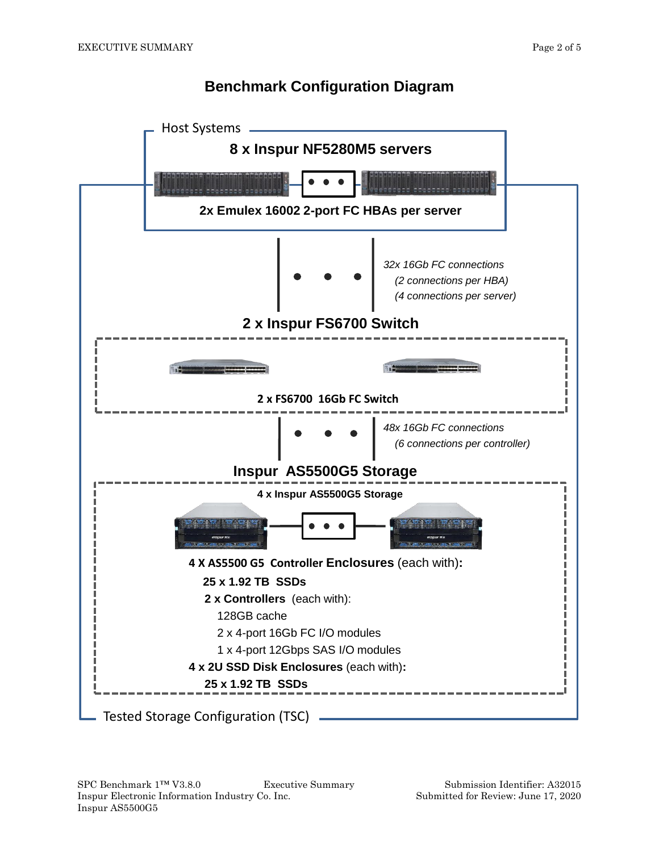### **Benchmark Configuration Diagram**

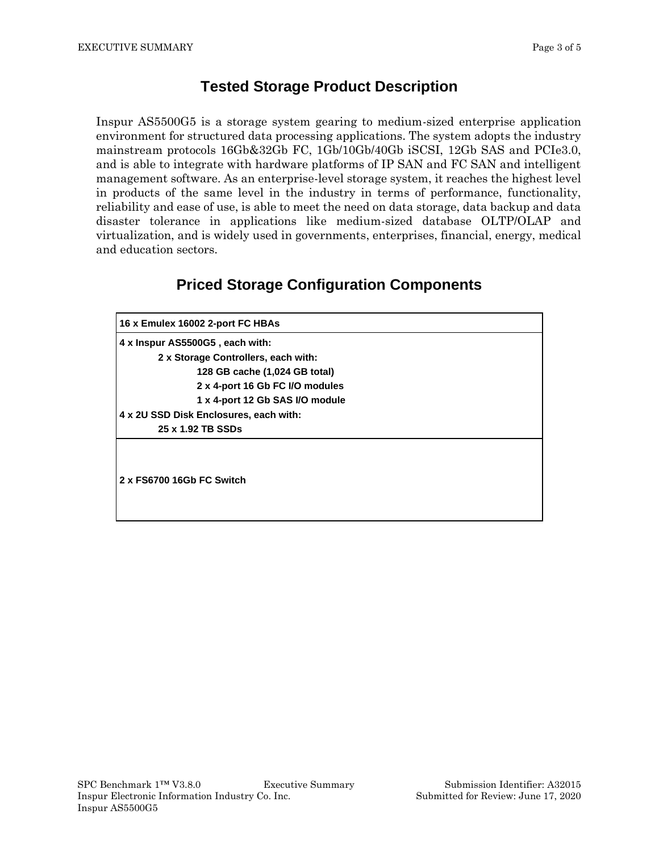#### **Tested Storage Product Description**

Inspur AS5500G5 is a storage system gearing to medium-sized enterprise application environment for structured data processing applications. The system adopts the industry mainstream protocols 16Gb&32Gb FC, 1Gb/10Gb/40Gb iSCSI, 12Gb SAS and PCIe3.0, and is able to integrate with hardware platforms of IP SAN and FC SAN and intelligent management software. As an enterprise-level storage system, it reaches the highest level in products of the same level in the industry in terms of performance, functionality, reliability and ease of use, is able to meet the need on data storage, data backup and data disaster tolerance in applications like medium-sized database OLTP/OLAP and virtualization, and is widely used in governments, enterprises, financial, energy, medical and education sectors.

# **Priced Storage Configuration Components**

| 16 x Emulex 16002 2-port FC HBAs       |
|----------------------------------------|
| 4 x Inspur AS5500G5, each with:        |
| 2 x Storage Controllers, each with:    |
| 128 GB cache (1,024 GB total)          |
| 2 x 4-port 16 Gb FC I/O modules        |
| 1 x 4-port 12 Gb SAS I/O module        |
| 4 x 2U SSD Disk Enclosures, each with: |
| 25 x 1.92 TB SSDs                      |
| 2 x FS6700 16Gb FC Switch              |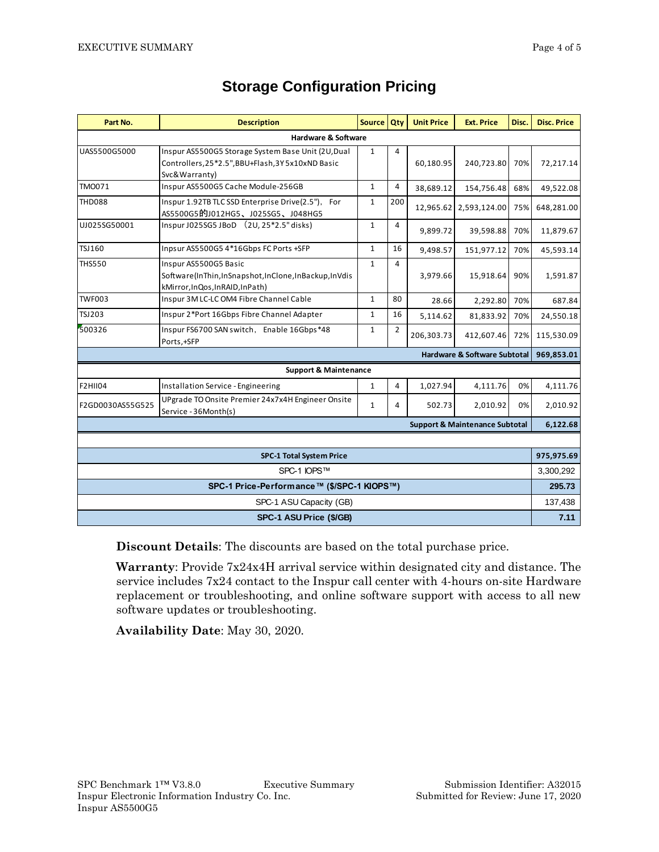| Part No.                                   | <b>Description</b>                                                                                                       | Source Qty   |                | <b>Unit Price</b> | <b>Ext. Price</b>                         | Disc.     | <b>Disc. Price</b> |
|--------------------------------------------|--------------------------------------------------------------------------------------------------------------------------|--------------|----------------|-------------------|-------------------------------------------|-----------|--------------------|
| Hardware & Software                        |                                                                                                                          |              |                |                   |                                           |           |                    |
| UAS5500G5000                               | Inspur AS5500G5 Storage System Base Unit (2U, Dual<br>Controllers, 25*2.5", BBU+Flash, 3Y 5x10xND Basic<br>Svc&Warranty) | $\mathbf{1}$ | 4              | 60,180.95         | 240,723.80                                | 70%       | 72,217.14          |
| <b>TMO071</b>                              | Inspur AS5500G5 Cache Module-256GB                                                                                       | $\mathbf{1}$ | 4              | 38,689.12         | 154,756.48                                | 68%       | 49,522.08          |
| <b>THD088</b>                              | Inspur 1.92TB TLC SSD Enterprise Drive(2.5"),<br>For<br>AS5500G5的J012HG5、J025SG5、J048HG5                                 | 1            | 200            | 12.965.62         | 2,593,124.00                              | 75%       | 648,281.00         |
| UJ025SG50001                               | Inspur J025SG5 JBoD (2U, 25*2.5" disks)                                                                                  | $\mathbf{1}$ | 4              | 9,899.72          | 39,598.88                                 | 70%       | 11,879.67          |
| TSJ160                                     | Inpsur AS5500G5 4*16Gbps FC Ports +SFP                                                                                   | $\mathbf{1}$ | 16             | 9,498.57          | 151,977.12                                | 70%       | 45,593.14          |
| <b>THS550</b>                              | Inspur AS5500G5 Basic<br>Software(InThin,InSnapshot,InClone,InBackup,InVdis<br>kMirror, InQos, InRAID, InPath)           | $\mathbf{1}$ | 4              | 3,979.66          | 15,918.64                                 | 90%       | 1,591.87           |
| <b>TWF003</b>                              | Inspur 3M LC-LC OM4 Fibre Channel Cable                                                                                  | $\mathbf{1}$ | 80             | 28.66             | 2,292.80                                  | 70%       | 687.84             |
| <b>TSJ203</b>                              | Inspur 2*Port 16Gbps Fibre Channel Adapter                                                                               | $\mathbf{1}$ | 16             | 5,114.62          | 81,833.92                                 | 70%       | 24,550.18          |
| 500326                                     | Inspur FS6700 SAN switch, Enable 16Gbps*48<br>Ports,+SFP                                                                 | $\mathbf{1}$ | $\overline{2}$ | 206,303.73        | 412,607.46                                | 72%       | 115,530.09         |
| <b>Hardware &amp; Software Subtotal</b>    |                                                                                                                          |              |                |                   |                                           |           |                    |
|                                            | <b>Support &amp; Maintenance</b>                                                                                         |              |                |                   |                                           |           |                    |
| <b>F2HII04</b>                             | Installation Service - Engineering                                                                                       | $\mathbf{1}$ | 4              | 1,027.94          | 4,111.76                                  | 0%        | 4,111.76           |
| F2GD0030AS55G525                           | UPgrade TO Onsite Premier 24x7x4H Engineer Onsite<br>Service - 36Month(s)                                                | $\mathbf{1}$ | 4              | 502.73            | 2,010.92                                  | 0%        | 2,010.92           |
|                                            |                                                                                                                          |              |                |                   | <b>Support &amp; Maintenance Subtotal</b> |           | 6,122.68           |
|                                            |                                                                                                                          |              |                |                   |                                           |           |                    |
| <b>SPC-1 Total System Price</b>            |                                                                                                                          |              |                |                   |                                           |           | 975,975.69         |
| SPC-1 IOPS™                                |                                                                                                                          |              |                |                   |                                           | 3,300,292 |                    |
| SPC-1 Price-Performance™ (\$/SPC-1 KIOPS™) |                                                                                                                          |              |                |                   |                                           | 295.73    |                    |
| SPC-1 ASU Capacity (GB)                    |                                                                                                                          |              |                |                   | 137,438                                   |           |                    |
| SPC-1 ASU Price (\$/GB)                    |                                                                                                                          |              |                |                   | 7.11                                      |           |                    |

### **Storage Configuration Pricing**

**Discount Details**: The discounts are based on the total purchase price.

**Warranty**: Provide 7x24x4H arrival service within designated city and distance. The service includes 7x24 contact to the Inspur call center with 4-hours on-site Hardware replacement or troubleshooting, and online software support with access to all new software updates or troubleshooting.

**Availability Date**: May 30, 2020.